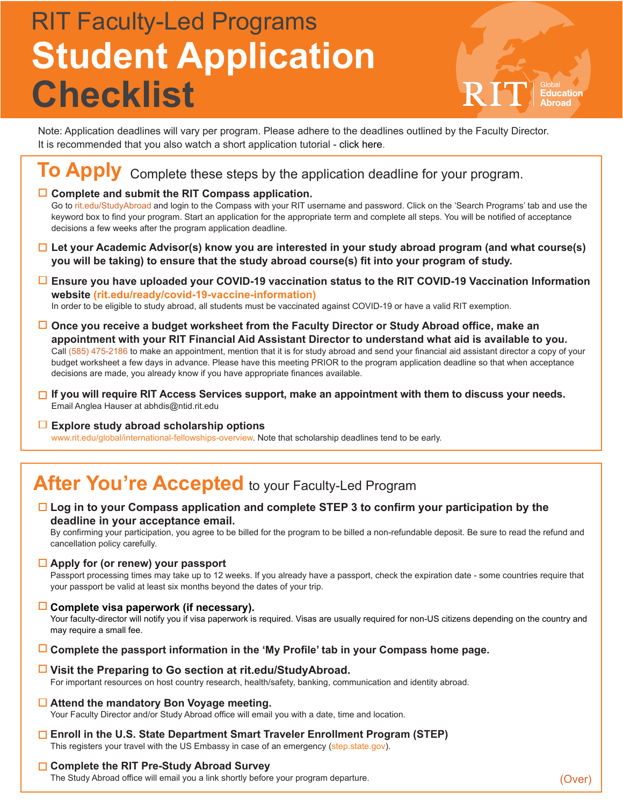# **RIT Faculty-Led Programs Student Application Checklist**



Note: Application deadlines will vary per program. Please adhere to the deadlines outlined by the Faculty Director. It is recommended that you also watch a short application tutorial - [click here.](https://www.youtube.com/watch?v=02Nhzn6VfTU)

### **To Apply** Complete these steps by the application deadline for your program.

#### **Complete and submit the RIT Compass application.**

Go to rit.edu/StudyAbroad and login to the Compass with your RIT username and password. Click on the 'Search Programs' tab and use the keyword box to find your program. Start an application for the appropriate term and complete all steps. You will be notified of acceptance decisions a few weeks after the program application deadline.

**Let your Academic Advisor(s) know you are interested in your study abroad program (and what course(s) you will be taking) to ensure that the study abroad course(s) fit into your program of study.**

#### **Ensure you have uploaded your COVID-19 vaccination status to the RIT COVID-19 Vaccination Information website (rit.edu/ready/covid-19-vaccine-information)** In order to be eligible to study abroad, all students must be vaccinated against COVID-19 or have a valid RIT exemption.

- **Once you receive a budget worksheet from the Faculty Director or Study Abroad office, make an appointment with your RIT Financial Aid Assistant Director to understand what aid is available to you.** Call (585) 475-2186 to make an appointment, mention that it is for study abroad and send your financial aid assistant director a copy of your budget worksheet a few days in advance. Please have this meeting PRIOR to the program application deadline so that when acceptance decisions are made, you already know if you have appropriate finances available.
- **If you will require RIT Access Services support, make an appointment with them to discuss your needs.** Email Anglea Hauser at abhdis@ntid.rit.edu
- **Explore study abroad scholarship options**  www.rit.edu/global/international-fellowships-overview. Note that scholarship deadlines tend to be early.

### After You're Accepted to your Faculty-Led Program

#### **Log in to your Compass application and complete STEP 3 to confirm your participation by the deadline in your acceptance email.**

By confirming your participation, you agree to be billed for the program to be billed a non-refundable deposit. Be sure to read the refund and cancellation policy carefully.

#### **Apply for (or renew) your passport**

Passport processing times may take up to 12 weeks. If you already have a passport, check the expiration date - some countries require that your passport be valid at least six months beyond the dates of your trip.

#### **Complete visa paperwork (if necessary).**

Your faculty-director will notify you if visa paperwork is required. Visas are usually required for non-US citizens depending on the country and may require a small fee.

#### □ Complete the passport information in the 'My Profile' tab in your Compass home page.

#### **Visit the Preparing to Go section at rit.edu/StudyAbroad.**

For important resources on host country research, health/safety, banking, communication and identity abroad.

#### **Attend the mandatory Bon Voyage meeting.**

Your Faculty Director and/or Study Abroad office will email you with a date, time and location.

#### **Enroll in the U.S. State Department Smart Traveler Enrollment Program (STEP)**

This registers your travel with the US Embassy in case of an emergency (step.state.gov).

#### **Complete the RIT Pre-Study Abroad Survey**

The Study Abroad office will email you a link shortly before your program departure.

(Over)